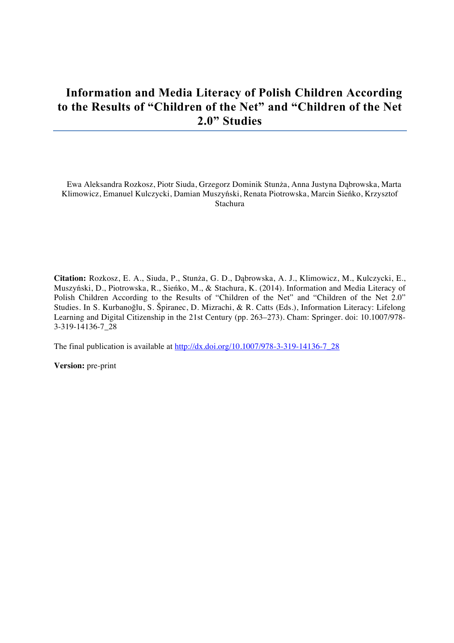# **Information and Media Literacy of Polish Children According to the Results of "Children of the Net" and "Children of the Net 2.0" Studies**

Ewa Aleksandra Rozkosz, Piotr Siuda, Grzegorz Dominik Stunża, Anna Justyna Dąbrowska, Marta Klimowicz, Emanuel Kulczycki, Damian Muszyński, Renata Piotrowska, Marcin Sieńko, Krzysztof Stachura

**Citation:** Rozkosz, E. A., Siuda, P., Stunża, G. D., Dąbrowska, A. J., Klimowicz, M., Kulczycki, E., Muszyński, D., Piotrowska, R., Sieńko, M., & Stachura, K. (2014). Information and Media Literacy of Polish Children According to the Results of "Children of the Net" and "Children of the Net 2.0" Studies. In S. Kurbanoğlu, S. Špiranec, D. Mizrachi, & R. Catts (Eds.), Information Literacy: Lifelong Learning and Digital Citizenship in the 21st Century (pp. 263–273). Cham: Springer. doi: 10.1007/978- 3-319-14136-7\_28

The final publication is available at http://dx.doi.org/10.1007/978-3-319-14136-7\_28

**Version:** pre-print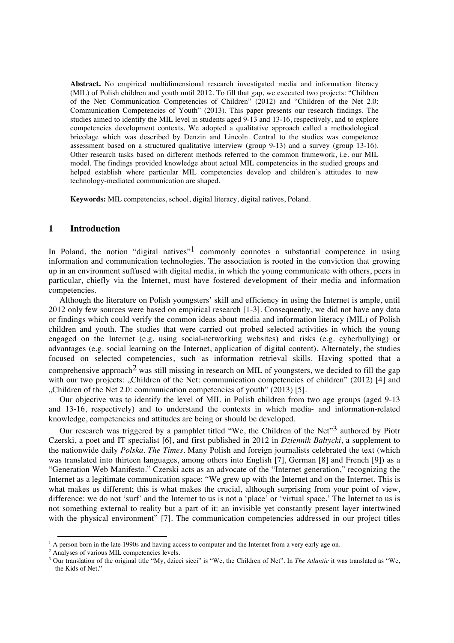**Abstract.** No empirical multidimensional research investigated media and information literacy (MIL) of Polish children and youth until 2012. To fill that gap, we executed two projects: "Children of the Net: Communication Competencies of Children" (2012) and "Children of the Net 2.0: Communication Competencies of Youth" (2013). This paper presents our research findings. The studies aimed to identify the MIL level in students aged 9-13 and 13-16, respectively, and to explore competencies development contexts. We adopted a qualitative approach called a methodological bricolage which was described by Denzin and Lincoln. Central to the studies was competence assessment based on a structured qualitative interview (group 9-13) and a survey (group 13-16). Other research tasks based on different methods referred to the common framework, i.e. our MIL model. The findings provided knowledge about actual MIL competencies in the studied groups and helped establish where particular MIL competencies develop and children's attitudes to new technology-mediated communication are shaped.

**Keywords:** MIL competencies, school, digital literacy, digital natives, Poland.

### **1 Introduction**

In Poland, the notion "digital natives"<sup>1</sup> commonly connotes a substantial competence in using information and communication technologies. The association is rooted in the conviction that growing up in an environment suffused with digital media, in which the young communicate with others, peers in particular, chiefly via the Internet, must have fostered development of their media and information competencies.

Although the literature on Polish youngsters' skill and efficiency in using the Internet is ample, until 2012 only few sources were based on empirical research [1-3]. Consequently, we did not have any data or findings which could verify the common ideas about media and information literacy (MIL) of Polish children and youth. The studies that were carried out probed selected activities in which the young engaged on the Internet (e.g. using social-networking websites) and risks (e.g. cyberbullying) or advantages (e.g. social learning on the Internet, application of digital content). Alternately, the studies focused on selected competencies, such as information retrieval skills. Having spotted that a comprehensive approach<sup>2</sup> was still missing in research on MIL of youngsters, we decided to fill the gap with our two projects: "Children of the Net: communication competencies of children" (2012) [4] and "Children of the Net 2.0: communication competencies of youth" (2013) [5].

Our objective was to identify the level of MIL in Polish children from two age groups (aged 9-13 and 13-16, respectively) and to understand the contexts in which media- and information-related knowledge, competencies and attitudes are being or should be developed.

Our research was triggered by a pamphlet titled "We, the Children of the Net"3 authored by Piotr Czerski, a poet and IT specialist [6], and first published in 2012 in *Dziennik Bałtycki*, a supplement to the nationwide daily *Polska. The Times*. Many Polish and foreign journalists celebrated the text (which was translated into thirteen languages, among others into English [7], German [8] and French [9]) as a "Generation Web Manifesto." Czerski acts as an advocate of the "Internet generation," recognizing the Internet as a legitimate communication space: "We grew up with the Internet and on the Internet. This is what makes us different; this is what makes the crucial, although surprising from your point of view, difference: we do not 'surf' and the Internet to us is not a 'place' or 'virtual space.' The Internet to us is not something external to reality but a part of it: an invisible yet constantly present layer intertwined with the physical environment" [7]. The communication competencies addressed in our project titles

 $1$  A person born in the late 1990s and having access to computer and the Internet from a very early age on.

<sup>&</sup>lt;sup>2</sup> Analyses of various MIL competencies levels.

<sup>&</sup>lt;sup>3</sup> Our translation of the original title "My, dzieci sieci" is "We, the Children of Net". In *The Atlantic* it was translated as "We, the Kids of Net."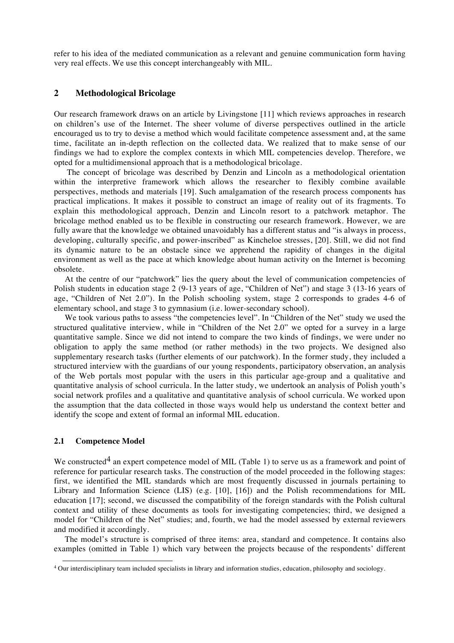refer to his idea of the mediated communication as a relevant and genuine communication form having very real effects. We use this concept interchangeably with MIL.

## **2 Methodological Bricolage**

Our research framework draws on an article by Livingstone [11] which reviews approaches in research on children's use of the Internet. The sheer volume of diverse perspectives outlined in the article encouraged us to try to devise a method which would facilitate competence assessment and, at the same time, facilitate an in-depth reflection on the collected data. We realized that to make sense of our findings we had to explore the complex contexts in which MIL competencies develop. Therefore, we opted for a multidimensional approach that is a methodological bricolage.

The concept of bricolage was described by Denzin and Lincoln as a methodological orientation within the interpretive framework which allows the researcher to flexibly combine available perspectives, methods and materials [19]. Such amalgamation of the research process components has practical implications. It makes it possible to construct an image of reality out of its fragments. To explain this methodological approach, Denzin and Lincoln resort to a patchwork metaphor. The bricolage method enabled us to be flexible in constructing our research framework. However, we are fully aware that the knowledge we obtained unavoidably has a different status and "is always in process, developing, culturally specific, and power-inscribed" as Kincheloe stresses, [20]. Still, we did not find its dynamic nature to be an obstacle since we apprehend the rapidity of changes in the digital environment as well as the pace at which knowledge about human activity on the Internet is becoming obsolete.

At the centre of our "patchwork" lies the query about the level of communication competencies of Polish students in education stage 2 (9-13 years of age, "Children of Net") and stage 3 (13-16 years of age, "Children of Net 2.0"). In the Polish schooling system, stage 2 corresponds to grades 4-6 of elementary school, and stage 3 to gymnasium (i.e. lower-secondary school).

We took various paths to assess "the competencies level". In "Children of the Net" study we used the structured qualitative interview, while in "Children of the Net 2.0" we opted for a survey in a large quantitative sample. Since we did not intend to compare the two kinds of findings, we were under no obligation to apply the same method (or rather methods) in the two projects. We designed also supplementary research tasks (further elements of our patchwork). In the former study, they included a structured interview with the guardians of our young respondents, participatory observation, an analysis of the Web portals most popular with the users in this particular age-group and a qualitative and quantitative analysis of school curricula. In the latter study, we undertook an analysis of Polish youth's social network profiles and a qualitative and quantitative analysis of school curricula. We worked upon the assumption that the data collected in those ways would help us understand the context better and identify the scope and extent of formal an informal MIL education.

#### **2.1 Competence Model**

We constructed<sup>4</sup> an expert competence model of MIL (Table 1) to serve us as a framework and point of reference for particular research tasks. The construction of the model proceeded in the following stages: first, we identified the MIL standards which are most frequently discussed in journals pertaining to Library and Information Science (LIS) (e.g. [10], [16]) and the Polish recommendations for MIL education [17]; second, we discussed the compatibility of the foreign standards with the Polish cultural context and utility of these documents as tools for investigating competencies; third, we designed a model for "Children of the Net" studies; and, fourth, we had the model assessed by external reviewers and modified it accordingly.

The model's structure is comprised of three items: area, standard and competence. It contains also examples (omitted in Table 1) which vary between the projects because of the respondents' different

<sup>&</sup>lt;sup>4</sup> Our interdisciplinary team included specialists in library and information studies, education, philosophy and sociology.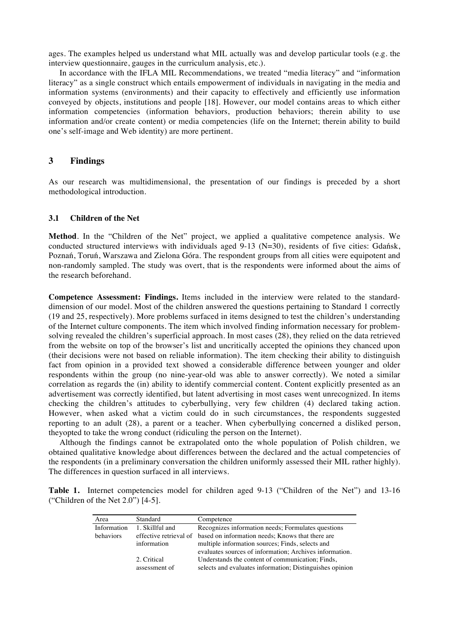ages. The examples helped us understand what MIL actually was and develop particular tools (e.g. the interview questionnaire, gauges in the curriculum analysis, etc.).

In accordance with the IFLA MIL Recommendations, we treated "media literacy" and "information literacy" as a single construct which entails empowerment of individuals in navigating in the media and information systems (environments) and their capacity to effectively and efficiently use information conveyed by objects, institutions and people [18]. However, our model contains areas to which either information competencies (information behaviors, production behaviors; therein ability to use information and/or create content) or media competencies (life on the Internet; therein ability to build one's self-image and Web identity) are more pertinent.

#### **3 Findings**

As our research was multidimensional, the presentation of our findings is preceded by a short methodological introduction.

#### **3.1 Children of the Net**

**Method**. In the "Children of the Net" project, we applied a qualitative competence analysis. We conducted structured interviews with individuals aged 9-13 (N=30), residents of five cities: Gdańsk, Poznań, Toruń, Warszawa and Zielona Góra. The respondent groups from all cities were equipotent and non-randomly sampled. The study was overt, that is the respondents were informed about the aims of the research beforehand.

**Competence Assessment: Findings.** Items included in the interview were related to the standarddimension of our model. Most of the children answered the questions pertaining to Standard 1 correctly (19 and 25, respectively). More problems surfaced in items designed to test the children's understanding of the Internet culture components. The item which involved finding information necessary for problemsolving revealed the children's superficial approach. In most cases (28), they relied on the data retrieved from the website on top of the browser's list and uncritically accepted the opinions they chanced upon (their decisions were not based on reliable information). The item checking their ability to distinguish fact from opinion in a provided text showed a considerable difference between younger and older respondents within the group (no nine-year-old was able to answer correctly). We noted a similar correlation as regards the (in) ability to identify commercial content. Content explicitly presented as an advertisement was correctly identified, but latent advertising in most cases went unrecognized. In items checking the children's attitudes to cyberbullying, very few children (4) declared taking action. However, when asked what a victim could do in such circumstances, the respondents suggested reporting to an adult (28), a parent or a teacher. When cyberbullying concerned a disliked person, theyopted to take the wrong conduct (ridiculing the person on the Internet).

Although the findings cannot be extrapolated onto the whole population of Polish children, we obtained qualitative knowledge about differences between the declared and the actual competencies of the respondents (in a preliminary conversation the children uniformly assessed their MIL rather highly). The differences in question surfaced in all interviews.

|  | <b>Table 1.</b> Internet competencies model for children aged 9-13 ("Children of the Net") and 13-16 |  |  |  |  |  |  |
|--|------------------------------------------------------------------------------------------------------|--|--|--|--|--|--|
|  | ("Children of the Net $2.0$ ") [4-5].                                                                |  |  |  |  |  |  |

| Standard        | Competence                                                              |
|-----------------|-------------------------------------------------------------------------|
| 1. Skillful and | Recognizes information needs; Formulates questions                      |
|                 | effective retrieval of based on information needs; Knows that there are |
| information     | multiple information sources; Finds, selects and                        |
|                 | evaluates sources of information: Archives information.                 |
| 2. Critical     | Understands the content of communication; Finds,                        |
| assessment of   | selects and evaluates information; Distinguishes opinion                |
|                 |                                                                         |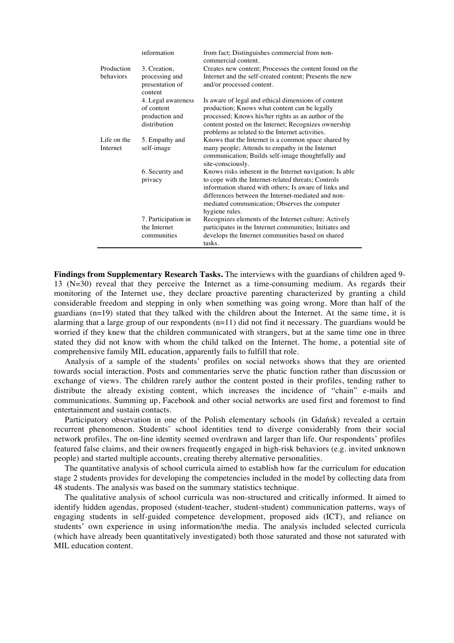|                         | information                                                        | from fact; Distinguishes commercial from non-<br>commercial content.                                                                                                                                                                                                                              |
|-------------------------|--------------------------------------------------------------------|---------------------------------------------------------------------------------------------------------------------------------------------------------------------------------------------------------------------------------------------------------------------------------------------------|
| Production<br>behaviors | 3. Creation,<br>processing and<br>presentation of<br>content       | Creates new content; Processes the content found on the<br>Internet and the self-created content; Presents the new<br>and/or processed content.                                                                                                                                                   |
|                         | 4. Legal awareness<br>of content<br>production and<br>distribution | Is aware of legal and ethical dimensions of content<br>production; Knows what content can be legally<br>processed; Knows his/her rights as an author of the<br>content posted on the Internet; Recognizes ownership<br>problems as related to the Internet activities.                            |
| Life on the<br>Internet | 5. Empathy and<br>self-image                                       | Knows that the Internet is a common space shared by<br>many people; Attends to empathy in the Internet<br>communication; Builds self-image thoughtfully and<br>site-consciously.                                                                                                                  |
|                         | 6. Security and<br>privacy                                         | Knows risks inherent in the Internet navigation; Is able<br>to cope with the Internet-related threats; Controls<br>information shared with others; Is aware of links and<br>differences between the Internet-mediated and non-<br>mediated communication; Observes the computer<br>hygiene rules. |
|                         | 7. Participation in<br>the Internet<br>communities                 | Recognizes elements of the Internet culture; Actively<br>participates in the Internet communities; Initiates and<br>develops the Internet communities based on shared<br>tasks.                                                                                                                   |

**Findings from Supplementary Research Tasks.** The interviews with the guardians of children aged 9- 13 (N=30) reveal that they perceive the Internet as a time-consuming medium. As regards their monitoring of the Internet use, they declare proactive parenting characterized by granting a child considerable freedom and stepping in only when something was going wrong. More than half of the guardians (n=19) stated that they talked with the children about the Internet. At the same time, it is alarming that a large group of our respondents  $(n=11)$  did not find it necessary. The guardians would be worried if they knew that the children communicated with strangers, but at the same time one in three stated they did not know with whom the child talked on the Internet. The home, a potential site of comprehensive family MIL education, apparently fails to fulfill that role.

Analysis of a sample of the students' profiles on social networks shows that they are oriented towards social interaction. Posts and commentaries serve the phatic function rather than discussion or exchange of views. The children rarely author the content posted in their profiles, tending rather to distribute the already existing content, which increases the incidence of "chain" e-mails and communications. Summing up, Facebook and other social networks are used first and foremost to find entertainment and sustain contacts.

Participatory observation in one of the Polish elementary schools (in Gdańsk) revealed a certain recurrent phenomenon. Students' school identities tend to diverge considerably from their social network profiles. The on-line identity seemed overdrawn and larger than life. Our respondents' profiles featured false claims, and their owners frequently engaged in high-risk behaviors (e.g. invited unknown people) and started multiple accounts, creating thereby alternative personalities.

The quantitative analysis of school curricula aimed to establish how far the curriculum for education stage 2 students provides for developing the competencies included in the model by collecting data from 48 students. The analysis was based on the summary statistics technique.

The qualitative analysis of school curricula was non-structured and critically informed. It aimed to identify hidden agendas, proposed (student-teacher, student-student) communication patterns, ways of engaging students in self-guided competence development, proposed aids (ICT), and reliance on students' own experience in using information/the media. The analysis included selected curricula (which have already been quantitatively investigated) both those saturated and those not saturated with MIL education content.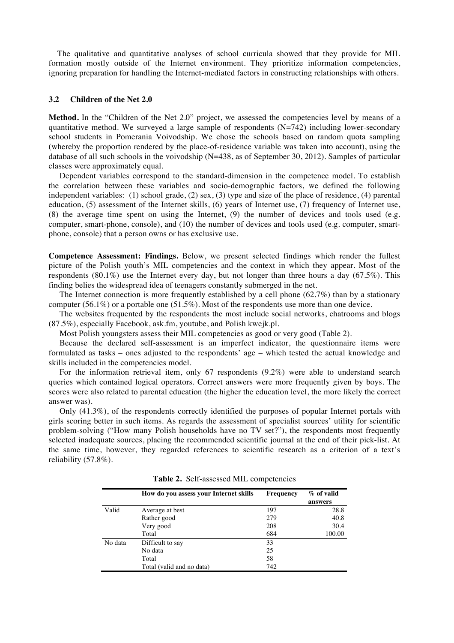The qualitative and quantitative analyses of school curricula showed that they provide for MIL formation mostly outside of the Internet environment. They prioritize information competencies, ignoring preparation for handling the Internet-mediated factors in constructing relationships with others.

#### **3.2 Children of the Net 2.0**

**Method.** In the "Children of the Net 2.0" project, we assessed the competencies level by means of a quantitative method. We surveyed a large sample of respondents  $(N=742)$  including lower-secondary school students in Pomerania Voivodship. We chose the schools based on random quota sampling (whereby the proportion rendered by the place-of-residence variable was taken into account), using the database of all such schools in the voivodship (N=438, as of September 30, 2012). Samples of particular classes were approximately equal.

Dependent variables correspond to the standard-dimension in the competence model. To establish the correlation between these variables and socio-demographic factors, we defined the following independent variables: (1) school grade, (2) sex, (3) type and size of the place of residence, (4) parental education, (5) assessment of the Internet skills, (6) years of Internet use, (7) frequency of Internet use, (8) the average time spent on using the Internet, (9) the number of devices and tools used (e.g. computer, smart-phone, console), and (10) the number of devices and tools used (e.g. computer, smartphone, console) that a person owns or has exclusive use.

**Competence Assessment: Findings.** Below, we present selected findings which render the fullest picture of the Polish youth's MIL competencies and the context in which they appear. Most of the respondents (80.1%) use the Internet every day, but not longer than three hours a day (67.5%). This finding belies the widespread idea of teenagers constantly submerged in the net.

The Internet connection is more frequently established by a cell phone (62.7%) than by a stationary computer (56.1%) or a portable one (51.5%). Most of the respondents use more than one device.

The websites frequented by the respondents the most include social networks, chatrooms and blogs (87.5%), especially Facebook, ask.fm, youtube, and Polish kwejk.pl.

Most Polish youngsters assess their MIL competencies as good or very good (Table 2).

Because the declared self-assessment is an imperfect indicator, the questionnaire items were formulated as tasks – ones adjusted to the respondents' age – which tested the actual knowledge and skills included in the competencies model.

For the information retrieval item, only 67 respondents (9.2%) were able to understand search queries which contained logical operators. Correct answers were more frequently given by boys. The scores were also related to parental education (the higher the education level, the more likely the correct answer was).

Only (41.3%), of the respondents correctly identified the purposes of popular Internet portals with girls scoring better in such items. As regards the assessment of specialist sources' utility for scientific problem-solving ("How many Polish households have no TV set?"), the respondents most frequently selected inadequate sources, placing the recommended scientific journal at the end of their pick-list. At the same time, however, they regarded references to scientific research as a criterion of a text's reliability (57.8%).

|         | How do you assess your Internet skills | Frequency | $%$ of valid<br>answers |
|---------|----------------------------------------|-----------|-------------------------|
| Valid   | Average at best                        | 197       | 28.8                    |
|         | Rather good                            | 279       | 40.8                    |
|         | Very good                              | 208       | 30.4                    |
|         | Total                                  | 684       | 100.00                  |
| No data | Difficult to say                       | 33        |                         |
|         | No data                                | 25        |                         |
|         | Total                                  | 58        |                         |
|         | Total (valid and no data)              | 742       |                         |

**Table 2.** Self-assessed MIL competencies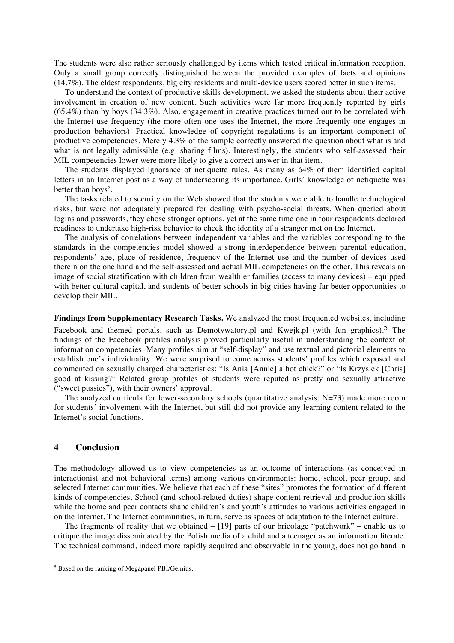The students were also rather seriously challenged by items which tested critical information reception. Only a small group correctly distinguished between the provided examples of facts and opinions (14.7%). The eldest respondents, big city residents and multi-device users scored better in such items.

To understand the context of productive skills development, we asked the students about their active involvement in creation of new content. Such activities were far more frequently reported by girls (65.4%) than by boys (34.3%). Also, engagement in creative practices turned out to be correlated with the Internet use frequency (the more often one uses the Internet, the more frequently one engages in production behaviors). Practical knowledge of copyright regulations is an important component of productive competencies. Merely 4.3% of the sample correctly answered the question about what is and what is not legally admissible (e.g. sharing films). Interestingly, the students who self-assessed their MIL competencies lower were more likely to give a correct answer in that item.

The students displayed ignorance of netiquette rules. As many as 64% of them identified capital letters in an Internet post as a way of underscoring its importance. Girls' knowledge of netiquette was better than boys'.

The tasks related to security on the Web showed that the students were able to handle technological risks, but were not adequately prepared for dealing with psycho-social threats. When queried about logins and passwords, they chose stronger options, yet at the same time one in four respondents declared readiness to undertake high-risk behavior to check the identity of a stranger met on the Internet.

The analysis of correlations between independent variables and the variables corresponding to the standards in the competencies model showed a strong interdependence between parental education, respondents' age, place of residence, frequency of the Internet use and the number of devices used therein on the one hand and the self-assessed and actual MIL competencies on the other. This reveals an image of social stratification with children from wealthier families (access to many devices) – equipped with better cultural capital, and students of better schools in big cities having far better opportunities to develop their MIL.

**Findings from Supplementary Research Tasks.** We analyzed the most frequented websites, including Facebook and themed portals, such as Demotywatory.pl and Kwejk.pl (with fun graphics).<sup>5</sup> The findings of the Facebook profiles analysis proved particularly useful in understanding the context of information competencies. Many profiles aim at "self-display" and use textual and pictorial elements to establish one's individuality. We were surprised to come across students' profiles which exposed and commented on sexually charged characteristics: "Is Ania [Annie] a hot chick?" or "Is Krzysiek [Chris] good at kissing?" Related group profiles of students were reputed as pretty and sexually attractive ("sweet pussies"), with their owners' approval.

The analyzed curricula for lower-secondary schools (quantitative analysis:  $N=73$ ) made more room for students' involvement with the Internet, but still did not provide any learning content related to the Internet's social functions.

# **4 Conclusion**

The methodology allowed us to view competencies as an outcome of interactions (as conceived in interactionist and not behavioral terms) among various environments: home, school, peer group, and selected Internet communities. We believe that each of these "sites" promotes the formation of different kinds of competencies. School (and school-related duties) shape content retrieval and production skills while the home and peer contacts shape children's and youth's attitudes to various activities engaged in on the Internet. The Internet communities, in turn, serve as spaces of adaptation to the Internet culture.

The fragments of reality that we obtained – [19] parts of our bricolage "patchwork" – enable us to critique the image disseminated by the Polish media of a child and a teenager as an information literate. The technical command, indeed more rapidly acquired and observable in the young, does not go hand in

 <sup>5</sup> Based on the ranking of Megapanel PBI/Gemius.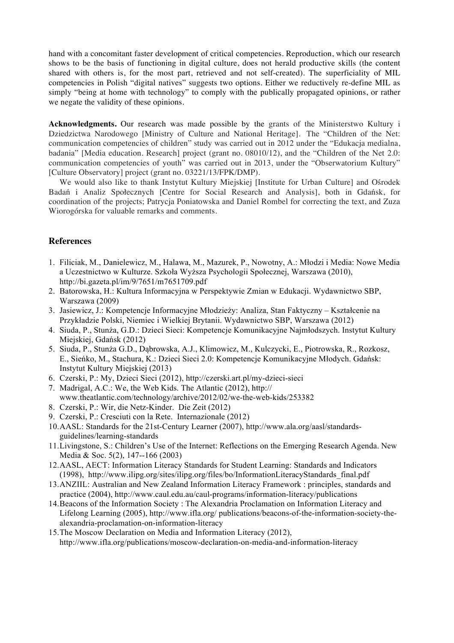hand with a concomitant faster development of critical competencies. Reproduction, which our research shows to be the basis of functioning in digital culture, does not herald productive skills (the content shared with others is, for the most part, retrieved and not self-created). The superficiality of MIL competencies in Polish "digital natives" suggests two options. Either we reductively re-define MIL as simply "being at home with technology" to comply with the publically propagated opinions, or rather we negate the validity of these opinions.

**Acknowledgments.** Our research was made possible by the grants of the Ministerstwo Kultury i Dziedzictwa Narodowego [Ministry of Culture and National Heritage]. The "Children of the Net: communication competencies of children" study was carried out in 2012 under the "Edukacja medialna, badania" [Media education. Research] project (grant no. 08010/12), and the "Children of the Net 2.0: communication competencies of youth" was carried out in 2013, under the "Obserwatorium Kultury" [Culture Observatory] project (grant no. 03221/13/FPK/DMP).

We would also like to thank Instytut Kultury Miejskiej [Institute for Urban Culture] and Ośrodek Badań i Analiz Społecznych [Centre for Social Research and Analysis], both in Gdańsk, for coordination of the projects; Patrycja Poniatowska and Daniel Rombel for correcting the text, and Zuza Wiorogórska for valuable remarks and comments.

# **References**

- 1. Filiciak, M., Danielewicz, M., Halawa, M., Mazurek, P., Nowotny, A.: Młodzi i Media: Nowe Media a Uczestnictwo w Kulturze. Szkoła Wyższa Psychologii Społecznej, Warszawa (2010), http://bi.gazeta.pl/im/9/7651/m7651709.pdf
- 2. Batorowska, H.: Kultura Informacyjna w Perspektywie Zmian w Edukacji. Wydawnictwo SBP, Warszawa (2009)
- 3. Jasiewicz, J.: Kompetencje Informacyjne Młodzieży: Analiza, Stan Faktyczny Kształcenie na Przykładzie Polski, Niemiec i Wielkiej Brytanii. Wydawnictwo SBP, Warszawa (2012)
- 4. Siuda, P., Stunża, G.D.: Dzieci Sieci: Kompetencje Komunikacyjne Najmłodszych. Instytut Kultury Miejskiej, Gdańsk (2012)
- 5. Siuda, P., Stunża G.D., Dąbrowska, A.J., Klimowicz, M., Kulczycki, E., Piotrowska, R., Rozkosz, E., Sieńko, M., Stachura, K.: Dzieci Sieci 2.0: Kompetencje Komunikacyjne Młodych. Gdańsk: Instytut Kultury Miejskiej (2013)
- 6. Czerski, P.: My, Dzieci Sieci (2012), http://czerski.art.pl/my-dzieci-sieci
- 7. Madrigal, A.C.: We, the Web Kids. The Atlantic (2012), http:// www.theatlantic.com/technology/archive/2012/02/we-the-web-kids/253382
- 8. Czerski, P.: Wir, die Netz-Kinder. Die Zeit (2012)
- 9. Czerski, P.: Cresciuti con la Rete. Internazionale (2012)
- 10.AASL: Standards for the 21st-Century Learner (2007), http://www.ala.org/aasl/standardsguidelines/learning-standards
- 11.Livingstone, S.: Children's Use of the Internet: Reflections on the Emerging Research Agenda. New Media & Soc. 5(2), 147--166 (2003)
- 12.AASL, AECT: Information Literacy Standards for Student Learning: Standards and Indicators (1998), http://www.ilipg.org/sites/ilipg.org/files/bo/InformationLiteracyStandards\_final.pdf
- 13.ANZIIL: Australian and New Zealand Information Literacy Framework : principles, standards and practice (2004), http://www.caul.edu.au/caul-programs/information-literacy/publications
- 14.Beacons of the Information Society : The Alexandria Proclamation on Information Literacy and Lifelong Learning (2005), http://www.ifla.org/ publications/beacons-of-the-information-society-thealexandria-proclamation-on-information-literacy
- 15.The Moscow Declaration on Media and Information Literacy (2012), http://www.ifla.org/publications/moscow-declaration-on-media-and-information-literacy